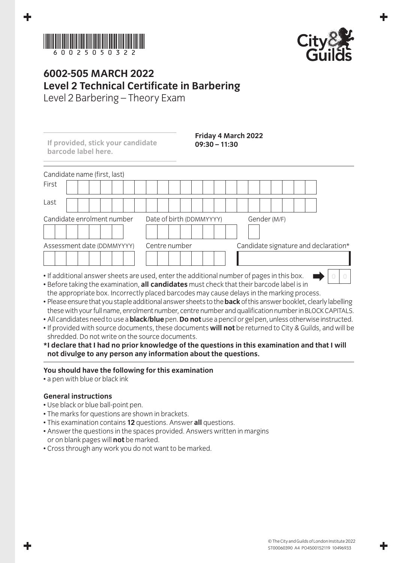



 **0 0**

## **6002-505 March 2022 Level 2 Technical Certificate in Barbering**

Level 2 Barbering – Theory Exam

**If provided, stick your candidate barcode label here. Friday 4 March 2022 09:30 – 11:30**

| Candidate name (first, last) |                          |                                      |
|------------------------------|--------------------------|--------------------------------------|
| First                        |                          |                                      |
| Last                         |                          |                                      |
| Candidate enrolment number   | Date of birth (DDMMYYYY) | Gender (M/F)                         |
|                              |                          |                                      |
| Assessment date (DDMMYYYY)   | Centre number            | Candidate signature and declaration* |
|                              |                          |                                      |
|                              |                          |                                      |

- If additional answer sheets are used, enter the additional number of pages in this box.
- Before taking the examination, **all candidates** must check that their barcode label is in the appropriate box. Incorrectly placed barcodes may cause delays in the marking process.
- Please ensure that you staple additional answer sheets to the **back** of this answer booklet, clearly labelling these with your full name, enrolment number, centre number and qualification number in BLOCK CAPITALS.
- All candidates need to use a **black/blue** pen. **Do not** use a pencil or gel pen, unless otherwise instructed.
- If provided with source documents, these documents **will not** be returned to City & Guilds, and will be shredded. Do not write on the source documents.
- **\* I declare that I had no prior knowledge of the questions in this examination and that I will not divulge to any person any information about the questions.**

## **You should have the following for this examination**

• a pen with blue or black ink

## **General instructions**

- Use black or blue ball-point pen.
- The marks for questions are shown in brackets.
- This examination contains **12** questions. Answer **all** questions.
- Answer the questions in the spaces provided. Answers written in margins or on blank pages will **not** be marked.
- Cross through any work you do not want to be marked.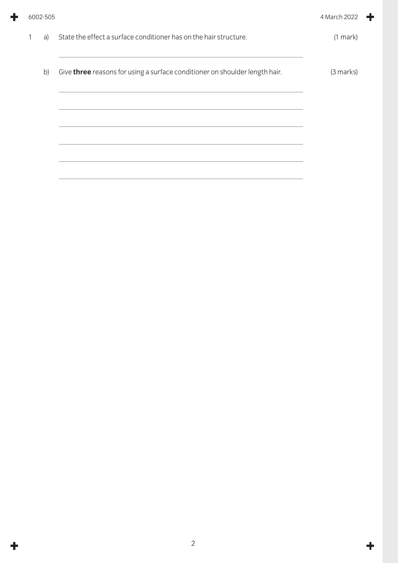|   | 6002-505 |                                                                             | 4 March 2022  |  |
|---|----------|-----------------------------------------------------------------------------|---------------|--|
| 1 | a)       | State the effect a surface conditioner has on the hair structure.           | $(1$ mark $)$ |  |
|   | b)       | Give three reasons for using a surface conditioner on shoulder length hair. | (3 marks)     |  |
|   |          |                                                                             |               |  |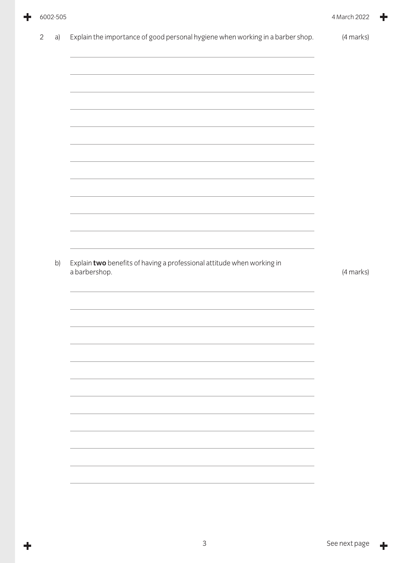| a) | Explain the importance of good personal hygiene when working in a barber shop.                                        | (4 marks) |
|----|-----------------------------------------------------------------------------------------------------------------------|-----------|
|    |                                                                                                                       |           |
|    |                                                                                                                       |           |
|    |                                                                                                                       |           |
|    |                                                                                                                       |           |
|    | <u> 1989 - Johann Stoff, amerikansk politiker (d. 1989)</u>                                                           |           |
|    |                                                                                                                       |           |
|    |                                                                                                                       |           |
|    | <u> 1989 - An Dùbhlachd ann an Dùbhlachd ann an Dùbhlachd ann an Dùbhlachd ann an Dùbhlachd ann an Dùbhlachd ann </u> |           |
|    |                                                                                                                       |           |
|    |                                                                                                                       |           |
|    | <u> 1989 - Johann Stoff, amerikansk politiker (d. 1989)</u>                                                           |           |
| b) | Explain two benefits of having a professional attitude when working in<br>a barbershop.                               | (4 marks) |
|    |                                                                                                                       |           |
|    |                                                                                                                       |           |
|    |                                                                                                                       |           |
|    |                                                                                                                       |           |
|    |                                                                                                                       |           |
|    |                                                                                                                       |           |
|    |                                                                                                                       |           |
|    |                                                                                                                       |           |
|    |                                                                                                                       |           |
|    |                                                                                                                       |           |
|    |                                                                                                                       |           |
|    |                                                                                                                       |           |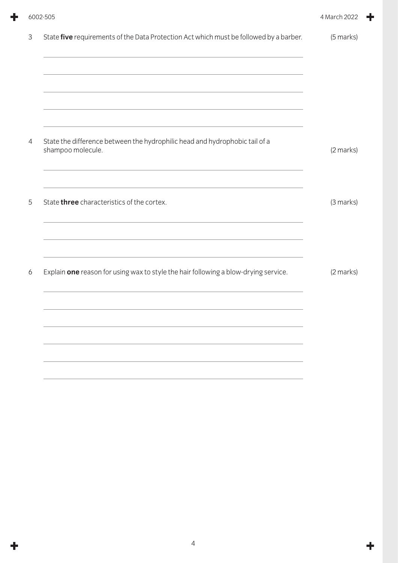|                | 6002-505                                                                                                                                                       | 4 March 2022 |
|----------------|----------------------------------------------------------------------------------------------------------------------------------------------------------------|--------------|
| $\mathsf{3}$   | State five requirements of the Data Protection Act which must be followed by a barber.                                                                         | (5 marks)    |
| $\overline{4}$ | State the difference between the hydrophilic head and hydrophobic tail of a<br>shampoo molecule.                                                               | (2 marks)    |
| 5              | and the control of the control of the control of the control of the control of the control of the control of the<br>State three characteristics of the cortex. | (3 marks)    |
| 6              | Explain one reason for using wax to style the hair following a blow-drying service.                                                                            | (2 marks)    |
|                |                                                                                                                                                                |              |

╋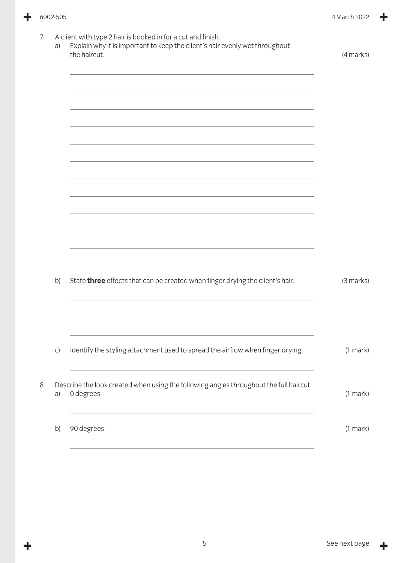| a) Explain why it is important to keep the client's hair evenly wet throughout |           |
|--------------------------------------------------------------------------------|-----------|
| the haircut.                                                                   | (4 marks) |

|   | b)           | State three effects that can be created when finger drying the client's hair.                       | (3 marks)     |
|---|--------------|-----------------------------------------------------------------------------------------------------|---------------|
|   | $\mathsf{C}$ | Identify the styling attachment used to spread the airflow when finger drying.                      | $(1$ mark $)$ |
| 8 | a)           | Describe the look created when using the following angles throughout the full haircut:<br>0 degrees | $(1$ mark $)$ |
|   | $\mathsf{b}$ | 90 degrees.                                                                                         | $(1$ mark)    |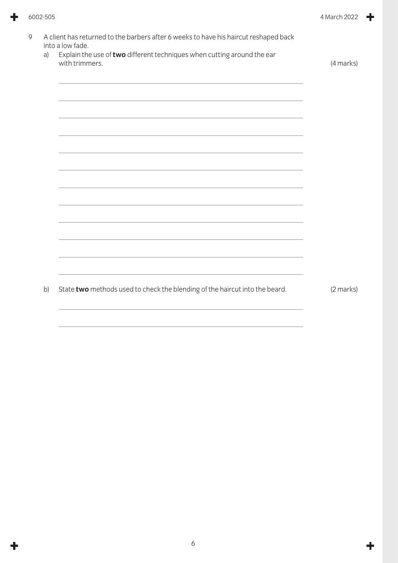| Explain the use of two different techniques when cutting around the ear<br>with trimmers. | (4 marks) |
|-------------------------------------------------------------------------------------------|-----------|
|                                                                                           |           |
|                                                                                           |           |
|                                                                                           |           |
|                                                                                           |           |
|                                                                                           |           |
|                                                                                           |           |
|                                                                                           |           |
|                                                                                           |           |
|                                                                                           |           |
|                                                                                           |           |
|                                                                                           |           |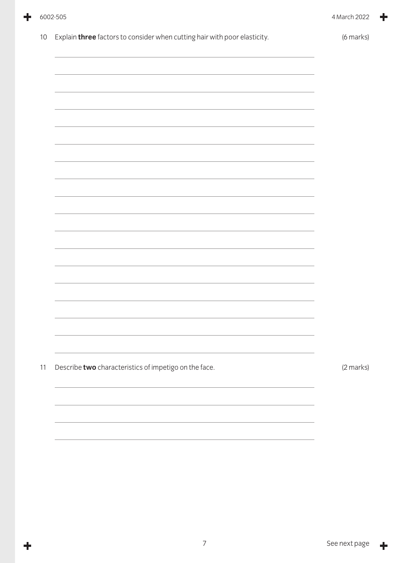| 4 March 2022<br>6002-505 |                                                                                  |           |  |
|--------------------------|----------------------------------------------------------------------------------|-----------|--|
| 10                       | Explain three factors to consider when cutting hair with poor elasticity.        | (6 marks) |  |
|                          |                                                                                  |           |  |
|                          |                                                                                  |           |  |
|                          |                                                                                  |           |  |
|                          | ,我们也不能在这里的时候,我们也不能在这里的时候,我们也不能会在这里的时候,我们也不能会在这里的时候,我们也不能会在这里的时候,我们也不能会在这里的时候,我们也 |           |  |
|                          |                                                                                  |           |  |
|                          |                                                                                  |           |  |
|                          |                                                                                  |           |  |
|                          |                                                                                  |           |  |
|                          |                                                                                  |           |  |
|                          |                                                                                  |           |  |
|                          |                                                                                  |           |  |
|                          |                                                                                  |           |  |

11 Describe **two** characteristics of impetigo on the face. (2 marks)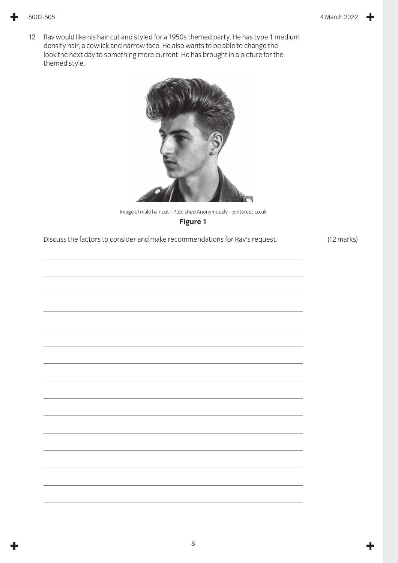- - 12 Rav would like his hair cut and styled for a 1950s themed party. He has type 1 medium density hair, a cowlick and narrow face. He also wants to be able to change the look the next day to something more current. He has brought in a picture for the themed style.



Image of male hair cut – Published Anonymously – pinterest.co.uk

**Figure 1**

Discuss the factors to consider and make recommendations for Rav's request. (12 marks)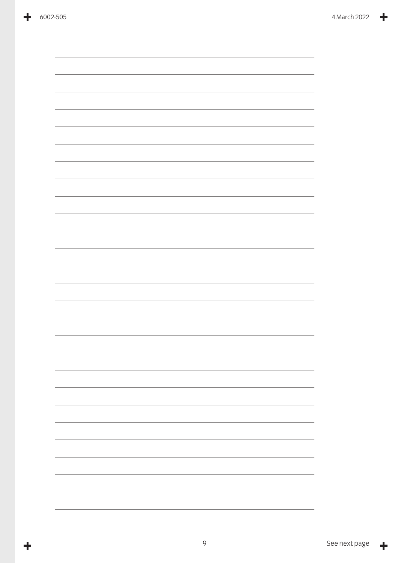| the control of the control of |
|-------------------------------|
|                               |
|                               |
|                               |
|                               |
|                               |
|                               |
|                               |
|                               |
|                               |
|                               |
|                               |
|                               |
|                               |
|                               |
|                               |
|                               |
|                               |
|                               |
|                               |
|                               |
| $\overline{\phantom{0}}$      |
|                               |
|                               |
|                               |
|                               |
| $\overline{\phantom{a}}$      |
|                               |
|                               |
|                               |
|                               |
|                               |
|                               |
|                               |
|                               |
|                               |
|                               |
|                               |
|                               |
|                               |
|                               |
|                               |
|                               |
|                               |
|                               |
|                               |
|                               |
| $\overline{\phantom{0}}$      |
|                               |
|                               |
|                               |
|                               |
|                               |
|                               |
|                               |
|                               |
|                               |
|                               |
|                               |
|                               |
|                               |
|                               |
|                               |
|                               |
|                               |
|                               |
|                               |
|                               |
|                               |
|                               |
|                               |
|                               |
|                               |
|                               |
|                               |
|                               |
|                               |
|                               |
|                               |
|                               |
|                               |
|                               |
|                               |
|                               |
|                               |
|                               |
|                               |
|                               |
|                               |
|                               |
|                               |
|                               |
|                               |
|                               |
|                               |
|                               |
|                               |
|                               |
|                               |
|                               |
|                               |
|                               |
|                               |
|                               |
|                               |
|                               |
|                               |
|                               |
|                               |